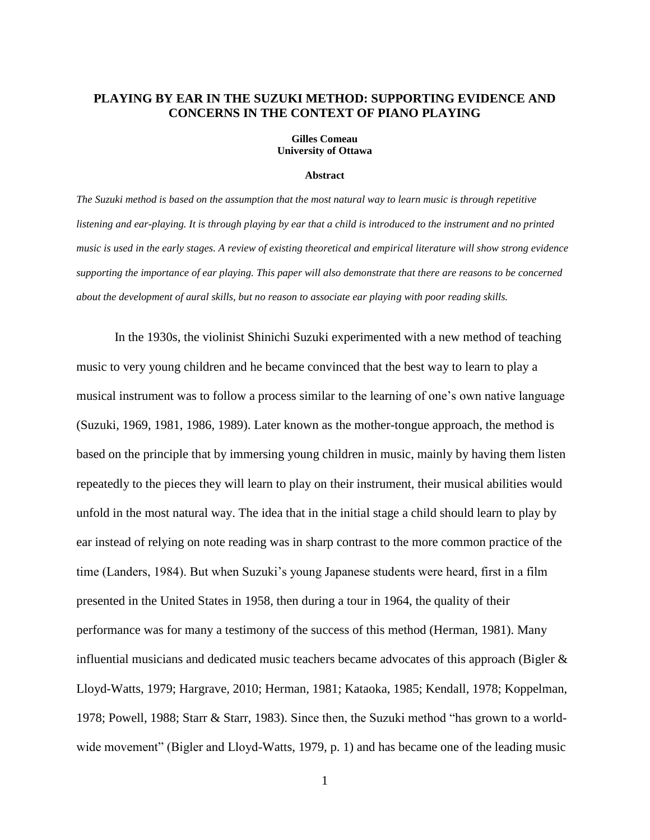# **PLAYING BY EAR IN THE SUZUKI METHOD: SUPPORTING EVIDENCE AND CONCERNS IN THE CONTEXT OF PIANO PLAYING**

#### **Gilles Comeau University of Ottawa**

#### **Abstract**

*The Suzuki method is based on the assumption that the most natural way to learn music is through repetitive listening and ear-playing. It is through playing by ear that a child is introduced to the instrument and no printed music is used in the early stages. A review of existing theoretical and empirical literature will show strong evidence supporting the importance of ear playing. This paper will also demonstrate that there are reasons to be concerned about the development of aural skills, but no reason to associate ear playing with poor reading skills.*

In the 1930s, the violinist Shinichi Suzuki experimented with a new method of teaching music to very young children and he became convinced that the best way to learn to play a musical instrument was to follow a process similar to the learning of one's own native language (Suzuki, 1969, 1981, 1986, 1989). Later known as the mother-tongue approach, the method is based on the principle that by immersing young children in music, mainly by having them listen repeatedly to the pieces they will learn to play on their instrument, their musical abilities would unfold in the most natural way. The idea that in the initial stage a child should learn to play by ear instead of relying on note reading was in sharp contrast to the more common practice of the time (Landers, 1984). But when Suzuki's young Japanese students were heard, first in a film presented in the United States in 1958, then during a tour in 1964, the quality of their performance was for many a testimony of the success of this method (Herman, 1981). Many influential musicians and dedicated music teachers became advocates of this approach (Bigler & Lloyd-Watts, 1979; Hargrave, 2010; Herman, 1981; Kataoka, 1985; Kendall, 1978; Koppelman, 1978; Powell, 1988; Starr & Starr, 1983). Since then, the Suzuki method "has grown to a worldwide movement" (Bigler and Lloyd-Watts, 1979, p. 1) and has became one of the leading music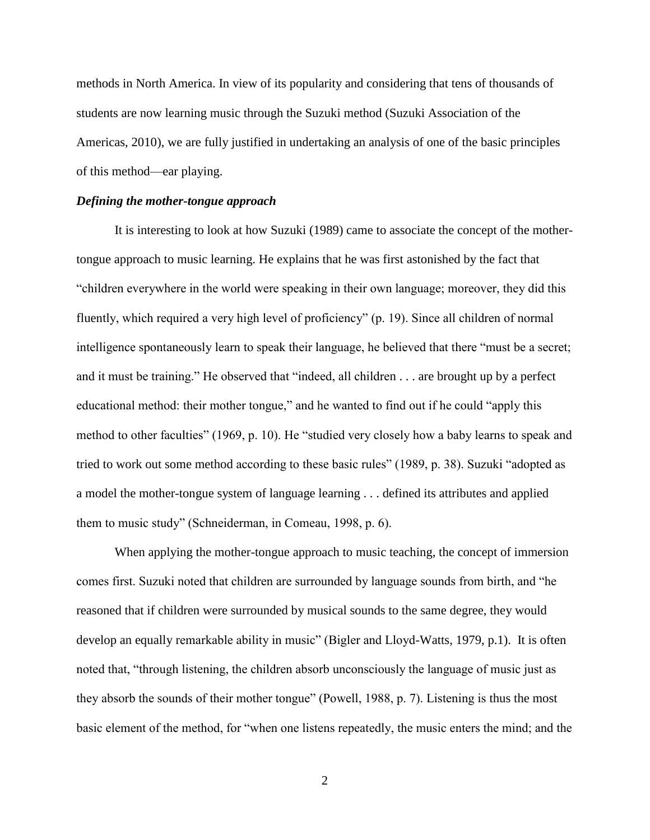methods in North America. In view of its popularity and considering that tens of thousands of students are now learning music through the Suzuki method (Suzuki Association of the Americas, 2010), we are fully justified in undertaking an analysis of one of the basic principles of this method—ear playing.

#### *Defining the mother-tongue approach*

It is interesting to look at how Suzuki (1989) came to associate the concept of the mothertongue approach to music learning. He explains that he was first astonished by the fact that ―children everywhere in the world were speaking in their own language; moreover, they did this fluently, which required a very high level of proficiency" (p. 19). Since all children of normal intelligence spontaneously learn to speak their language, he believed that there "must be a secret; and it must be training." He observed that "indeed, all children  $\dots$  are brought up by a perfect educational method: their mother tongue," and he wanted to find out if he could "apply this method to other faculties" (1969, p. 10). He "studied very closely how a baby learns to speak and tried to work out some method according to these basic rules" (1989, p. 38). Suzuki "adopted as a model the mother-tongue system of language learning . . . defined its attributes and applied them to music study" (Schneiderman, in Comeau, 1998, p. 6).

When applying the mother-tongue approach to music teaching, the concept of immersion comes first. Suzuki noted that children are surrounded by language sounds from birth, and "he reasoned that if children were surrounded by musical sounds to the same degree, they would develop an equally remarkable ability in music" (Bigler and Lloyd-Watts, 1979, p.1). It is often noted that, "through listening, the children absorb unconsciously the language of music just as they absorb the sounds of their mother tongue" (Powell, 1988, p. 7). Listening is thus the most basic element of the method, for "when one listens repeatedly, the music enters the mind; and the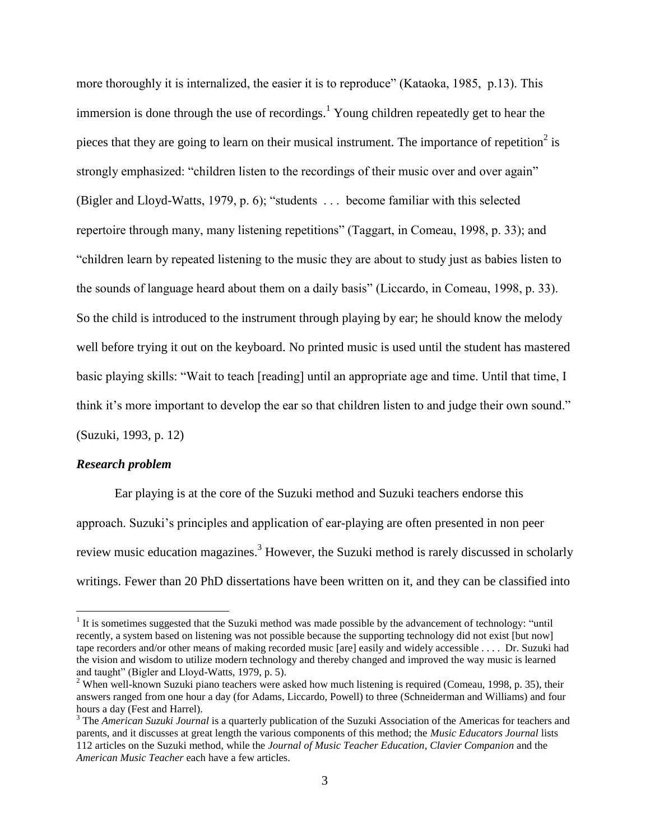more thoroughly it is internalized, the easier it is to reproduce" (Kataoka, 1985, p.13). This immersion is done through the use of recordings.<sup>1</sup> Young children repeatedly get to hear the pieces that they are going to learn on their musical instrument. The importance of repetition<sup>2</sup> is strongly emphasized: "children listen to the recordings of their music over and over again" (Bigler and Lloyd-Watts, 1979, p. 6); "students  $\dots$  become familiar with this selected repertoire through many, many listening repetitions" (Taggart, in Comeau, 1998, p. 33); and ―children learn by repeated listening to the music they are about to study just as babies listen to the sounds of language heard about them on a daily basis" (Liccardo, in Comeau, 1998, p. 33). So the child is introduced to the instrument through playing by ear; he should know the melody well before trying it out on the keyboard. No printed music is used until the student has mastered basic playing skills: "Wait to teach [reading] until an appropriate age and time. Until that time, I think it's more important to develop the ear so that children listen to and judge their own sound."

(Suzuki, 1993, p. 12)

# *Research problem*

 $\overline{a}$ 

Ear playing is at the core of the Suzuki method and Suzuki teachers endorse this approach. Suzuki's principles and application of ear-playing are often presented in non peer review music education magazines.<sup>3</sup> However, the Suzuki method is rarely discussed in scholarly writings. Fewer than 20 PhD dissertations have been written on it, and they can be classified into

 $1$ <sup>1</sup> It is sometimes suggested that the Suzuki method was made possible by the advancement of technology: "until recently, a system based on listening was not possible because the supporting technology did not exist [but now] tape recorders and/or other means of making recorded music [are] easily and widely accessible . . . . Dr. Suzuki had the vision and wisdom to utilize modern technology and thereby changed and improved the way music is learned and taught" (Bigler and Lloyd-Watts, 1979, p. 5).

<sup>&</sup>lt;sup>2</sup> When well-known Suzuki piano teachers were asked how much listening is required (Comeau, 1998, p. 35), their answers ranged from one hour a day (for Adams, Liccardo, Powell) to three (Schneiderman and Williams) and four hours a day (Fest and Harrel).

<sup>3</sup> The *American Suzuki Journal* is a quarterly publication of the Suzuki Association of the Americas for teachers and parents, and it discusses at great length the various components of this method; the *Music Educators Journal* lists 112 articles on the Suzuki method, while the *Journal of Music Teacher Education*, *Clavier Companion* and the *American Music Teacher* each have a few articles.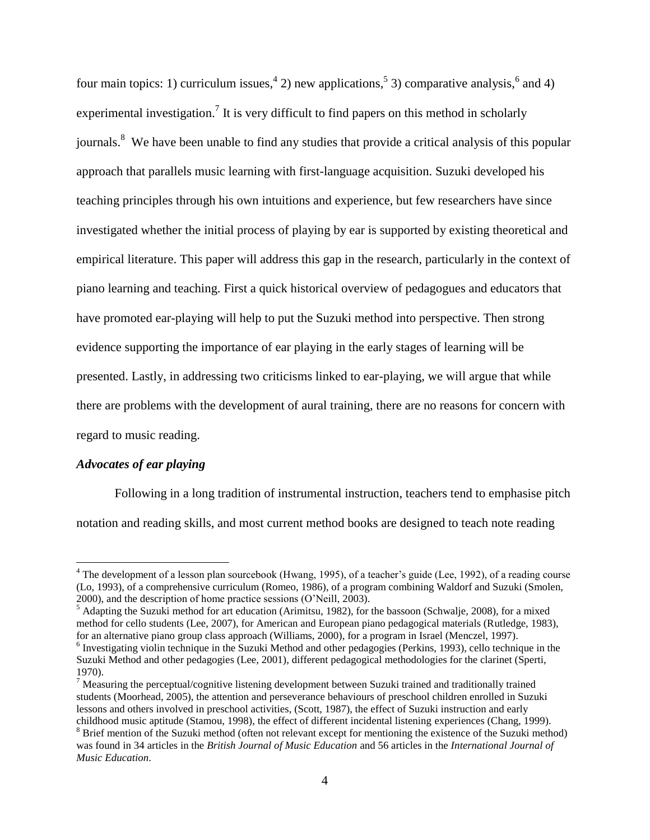four main topics: 1) curriculum issues,  $4^{4}$  2) new applications,  $5^{5}$  3) comparative analysis,  $6^{6}$  and 4) experimental investigation.<sup>7</sup> It is very difficult to find papers on this method in scholarly journals.<sup>8</sup> We have been unable to find any studies that provide a critical analysis of this popular approach that parallels music learning with first-language acquisition. Suzuki developed his teaching principles through his own intuitions and experience, but few researchers have since investigated whether the initial process of playing by ear is supported by existing theoretical and empirical literature. This paper will address this gap in the research, particularly in the context of piano learning and teaching. First a quick historical overview of pedagogues and educators that have promoted ear-playing will help to put the Suzuki method into perspective. Then strong evidence supporting the importance of ear playing in the early stages of learning will be presented. Lastly, in addressing two criticisms linked to ear-playing, we will argue that while there are problems with the development of aural training, there are no reasons for concern with regard to music reading.

# *Advocates of ear playing*

 $\overline{a}$ 

Following in a long tradition of instrumental instruction, teachers tend to emphasise pitch notation and reading skills, and most current method books are designed to teach note reading

<sup>&</sup>lt;sup>4</sup> The development of a lesson plan sourcebook (Hwang, 1995), of a teacher's guide (Lee, 1992), of a reading course (Lo, 1993), of a comprehensive curriculum (Romeo, 1986), of a program combining Waldorf and Suzuki (Smolen, 2000), and the description of home practice sessions (O'Neill, 2003).

<sup>&</sup>lt;sup>5</sup> Adapting the Suzuki method for art education (Arimitsu, 1982), for the bassoon (Schwalje, 2008), for a mixed method for cello students (Lee, 2007), for American and European piano pedagogical materials (Rutledge, 1983), for an alternative piano group class approach (Williams, 2000), for a program in Israel (Menczel, 1997).

<sup>&</sup>lt;sup>6</sup> Investigating violin technique in the Suzuki Method and other pedagogies (Perkins, 1993), cello technique in the Suzuki Method and other pedagogies (Lee, 2001), different pedagogical methodologies for the clarinet (Sperti, 1970).

<sup>&</sup>lt;sup>7</sup> Measuring the perceptual/cognitive listening development between Suzuki trained and traditionally trained students (Moorhead, 2005), the attention and perseverance behaviours of preschool children enrolled in Suzuki lessons and others involved in preschool activities, (Scott, 1987), the effect of Suzuki instruction and early childhood music aptitude (Stamou, 1998), the effect of different incidental listening experiences (Chang, 1999).

<sup>&</sup>lt;sup>8</sup> Brief mention of the Suzuki method (often not relevant except for mentioning the existence of the Suzuki method) was found in 34 articles in the *British Journal of Music Education* and 56 articles in the *International Journal of Music Education*.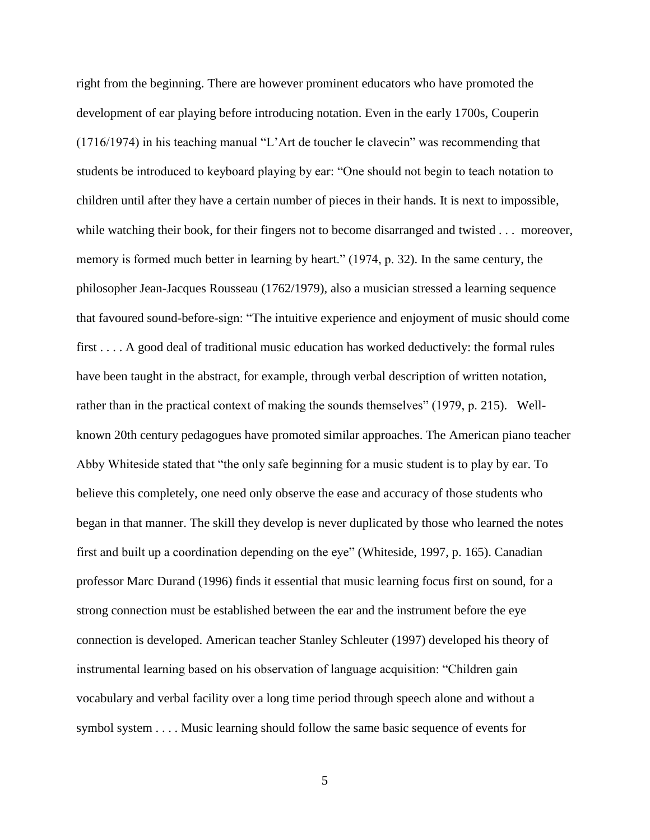right from the beginning. There are however prominent educators who have promoted the development of ear playing before introducing notation. Even in the early 1700s, Couperin  $(1716/1974)$  in his teaching manual "L'Art de toucher le clavecin" was recommending that students be introduced to keyboard playing by ear: "One should not begin to teach notation to children until after they have a certain number of pieces in their hands. It is next to impossible, while watching their book, for their fingers not to become disarranged and twisted . . . moreover, memory is formed much better in learning by heart." (1974, p. 32). In the same century, the philosopher Jean-Jacques Rousseau (1762/1979), also a musician stressed a learning sequence that favoured sound-before-sign: "The intuitive experience and enjoyment of music should come first . . . . A good deal of traditional music education has worked deductively: the formal rules have been taught in the abstract, for example, through verbal description of written notation, rather than in the practical context of making the sounds themselves" (1979, p. 215). Wellknown 20th century pedagogues have promoted similar approaches. The American piano teacher Abby Whiteside stated that "the only safe beginning for a music student is to play by ear. To believe this completely, one need only observe the ease and accuracy of those students who began in that manner. The skill they develop is never duplicated by those who learned the notes first and built up a coordination depending on the eye" (Whiteside, 1997, p. 165). Canadian professor Marc Durand (1996) finds it essential that music learning focus first on sound, for a strong connection must be established between the ear and the instrument before the eye connection is developed. American teacher Stanley Schleuter (1997) developed his theory of instrumental learning based on his observation of language acquisition: "Children gain vocabulary and verbal facility over a long time period through speech alone and without a symbol system . . . . Music learning should follow the same basic sequence of events for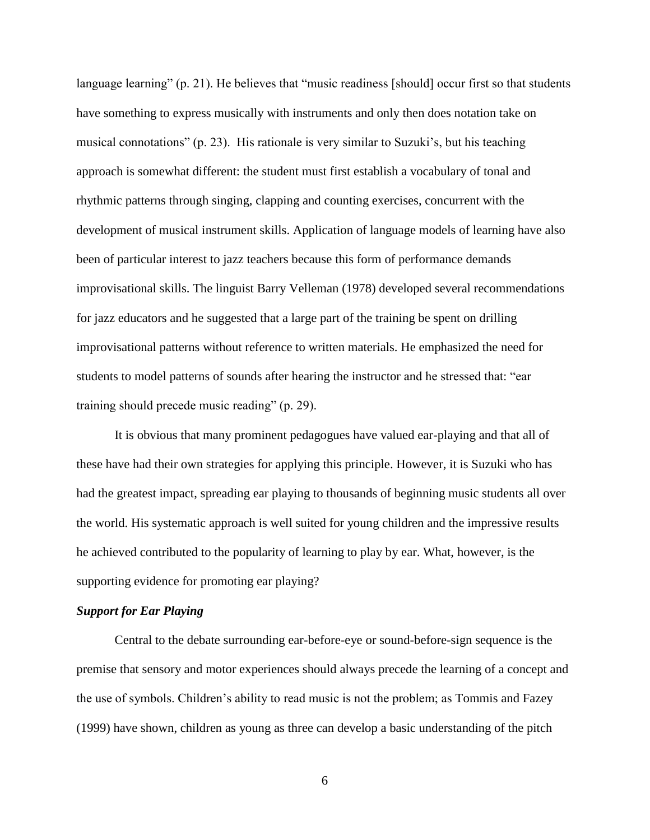language learning" (p. 21). He believes that "music readiness [should] occur first so that students have something to express musically with instruments and only then does notation take on musical connotations"  $(p, 23)$ . His rationale is very similar to Suzuki's, but his teaching approach is somewhat different: the student must first establish a vocabulary of tonal and rhythmic patterns through singing, clapping and counting exercises, concurrent with the development of musical instrument skills. Application of language models of learning have also been of particular interest to jazz teachers because this form of performance demands improvisational skills. The linguist Barry Velleman (1978) developed several recommendations for jazz educators and he suggested that a large part of the training be spent on drilling improvisational patterns without reference to written materials. He emphasized the need for students to model patterns of sounds after hearing the instructor and he stressed that: "ear training should precede music reading" (p. 29).

It is obvious that many prominent pedagogues have valued ear-playing and that all of these have had their own strategies for applying this principle. However, it is Suzuki who has had the greatest impact, spreading ear playing to thousands of beginning music students all over the world. His systematic approach is well suited for young children and the impressive results he achieved contributed to the popularity of learning to play by ear. What, however, is the supporting evidence for promoting ear playing?

#### *Support for Ear Playing*

Central to the debate surrounding ear-before-eye or sound-before-sign sequence is the premise that sensory and motor experiences should always precede the learning of a concept and the use of symbols. Children's ability to read music is not the problem; as Tommis and Fazey (1999) have shown, children as young as three can develop a basic understanding of the pitch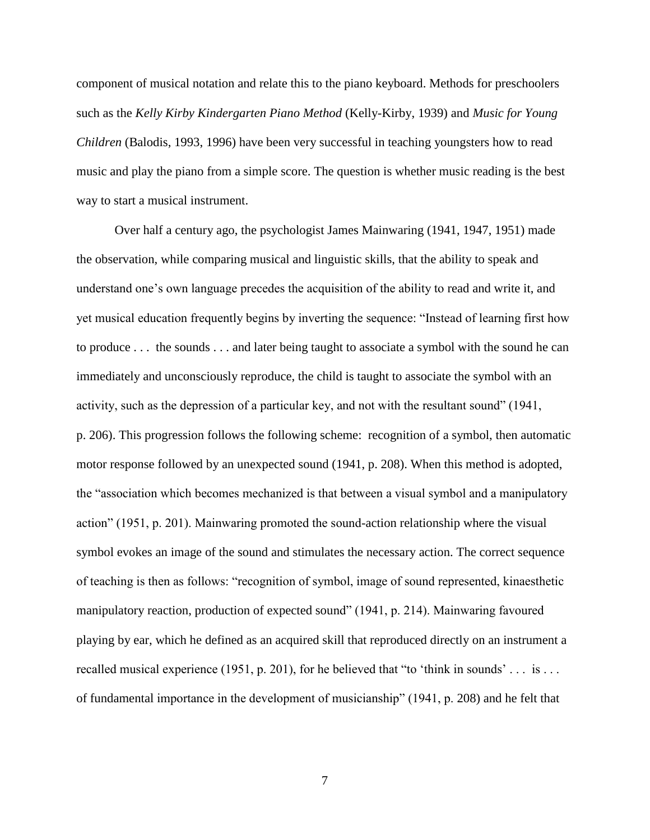component of musical notation and relate this to the piano keyboard. Methods for preschoolers such as the *Kelly Kirby Kindergarten Piano Method* (Kelly-Kirby, 1939) and *Music for Young Children* (Balodis, 1993, 1996) have been very successful in teaching youngsters how to read music and play the piano from a simple score. The question is whether music reading is the best way to start a musical instrument.

Over half a century ago, the psychologist James Mainwaring (1941, 1947, 1951) made the observation, while comparing musical and linguistic skills, that the ability to speak and understand one's own language precedes the acquisition of the ability to read and write it, and yet musical education frequently begins by inverting the sequence: "Instead of learning first how to produce . . . the sounds . . . and later being taught to associate a symbol with the sound he can immediately and unconsciously reproduce, the child is taught to associate the symbol with an activity, such as the depression of a particular key, and not with the resultant sound"  $(1941, 1941)$ p. 206). This progression follows the following scheme: recognition of a symbol, then automatic motor response followed by an unexpected sound (1941, p. 208). When this method is adopted, the "association which becomes mechanized is that between a visual symbol and a manipulatory action" (1951, p. 201). Mainwaring promoted the sound-action relationship where the visual symbol evokes an image of the sound and stimulates the necessary action. The correct sequence of teaching is then as follows: "recognition of symbol, image of sound represented, kinaesthetic manipulatory reaction, production of expected sound" (1941, p. 214). Mainwaring favoured playing by ear, which he defined as an acquired skill that reproduced directly on an instrument a recalled musical experience (1951, p. 201), for he believed that "to 'think in sounds' . . . is . . . of fundamental importance in the development of musicianship" (1941, p. 208) and he felt that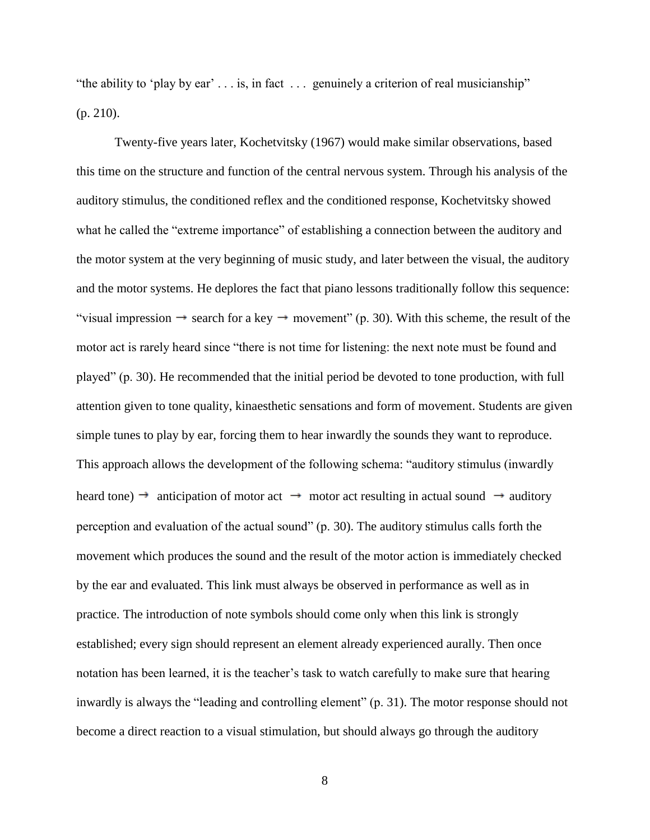"the ability to 'play by ear'  $\ldots$  is, in fact  $\ldots$  genuinely a criterion of real musicianship" (p. 210).

Twenty-five years later, Kochetvitsky (1967) would make similar observations, based this time on the structure and function of the central nervous system. Through his analysis of the auditory stimulus, the conditioned reflex and the conditioned response, Kochetvitsky showed what he called the "extreme importance" of establishing a connection between the auditory and the motor system at the very beginning of music study, and later between the visual, the auditory and the motor systems. He deplores the fact that piano lessons traditionally follow this sequence: "visual impression  $\rightarrow$  search for a key  $\rightarrow$  movement" (p. 30). With this scheme, the result of the motor act is rarely heard since "there is not time for listening: the next note must be found and played‖ (p. 30). He recommended that the initial period be devoted to tone production, with full attention given to tone quality, kinaesthetic sensations and form of movement. Students are given simple tunes to play by ear, forcing them to hear inwardly the sounds they want to reproduce. This approach allows the development of the following schema: "auditory stimulus (inwardly heard tone)  $\rightarrow$  anticipation of motor act  $\rightarrow$  motor act resulting in actual sound  $\rightarrow$  auditory perception and evaluation of the actual sound"  $(p. 30)$ . The auditory stimulus calls forth the movement which produces the sound and the result of the motor action is immediately checked by the ear and evaluated. This link must always be observed in performance as well as in practice. The introduction of note symbols should come only when this link is strongly established; every sign should represent an element already experienced aurally. Then once notation has been learned, it is the teacher's task to watch carefully to make sure that hearing inwardly is always the "leading and controlling element" (p. 31). The motor response should not become a direct reaction to a visual stimulation, but should always go through the auditory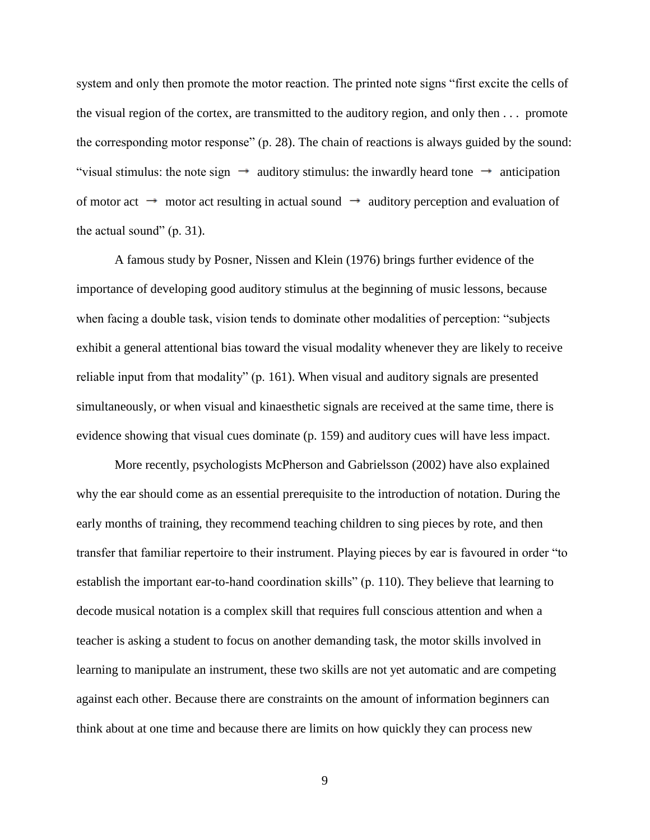system and only then promote the motor reaction. The printed note signs "first excite the cells of the visual region of the cortex, are transmitted to the auditory region, and only then . . . promote the corresponding motor response" (p. 28). The chain of reactions is always guided by the sound: "visual stimulus: the note sign  $\rightarrow$  auditory stimulus: the inwardly heard tone  $\rightarrow$  anticipation of motor act  $\rightarrow$  motor act resulting in actual sound  $\rightarrow$  auditory perception and evaluation of the actual sound"  $(p. 31)$ .

A famous study by Posner, Nissen and Klein (1976) brings further evidence of the importance of developing good auditory stimulus at the beginning of music lessons, because when facing a double task, vision tends to dominate other modalities of perception: "subjects" exhibit a general attentional bias toward the visual modality whenever they are likely to receive reliable input from that modality"  $(p. 161)$ . When visual and auditory signals are presented simultaneously, or when visual and kinaesthetic signals are received at the same time, there is evidence showing that visual cues dominate (p. 159) and auditory cues will have less impact.

More recently, psychologists McPherson and Gabrielsson (2002) have also explained why the ear should come as an essential prerequisite to the introduction of notation. During the early months of training, they recommend teaching children to sing pieces by rote, and then transfer that familiar repertoire to their instrument. Playing pieces by ear is favoured in order "to establish the important ear-to-hand coordination skills" (p. 110). They believe that learning to decode musical notation is a complex skill that requires full conscious attention and when a teacher is asking a student to focus on another demanding task, the motor skills involved in learning to manipulate an instrument, these two skills are not yet automatic and are competing against each other. Because there are constraints on the amount of information beginners can think about at one time and because there are limits on how quickly they can process new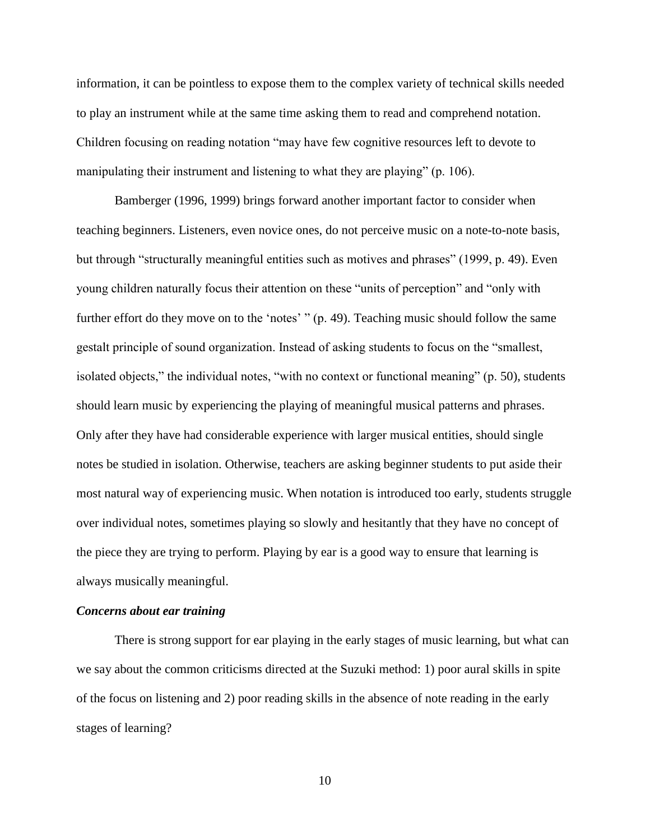information, it can be pointless to expose them to the complex variety of technical skills needed to play an instrument while at the same time asking them to read and comprehend notation. Children focusing on reading notation "may have few cognitive resources left to devote to manipulating their instrument and listening to what they are playing" (p. 106).

Bamberger (1996, 1999) brings forward another important factor to consider when teaching beginners. Listeners, even novice ones, do not perceive music on a note-to-note basis, but through "structurally meaningful entities such as motives and phrases" (1999, p. 49). Even young children naturally focus their attention on these "units of perception" and "only with further effort do they move on to the 'notes'  $\degree$  (p. 49). Teaching music should follow the same gestalt principle of sound organization. Instead of asking students to focus on the "smallest, isolated objects," the individual notes, "with no context or functional meaning" (p. 50), students should learn music by experiencing the playing of meaningful musical patterns and phrases. Only after they have had considerable experience with larger musical entities, should single notes be studied in isolation. Otherwise, teachers are asking beginner students to put aside their most natural way of experiencing music. When notation is introduced too early, students struggle over individual notes, sometimes playing so slowly and hesitantly that they have no concept of the piece they are trying to perform. Playing by ear is a good way to ensure that learning is always musically meaningful.

# *Concerns about ear training*

There is strong support for ear playing in the early stages of music learning, but what can we say about the common criticisms directed at the Suzuki method: 1) poor aural skills in spite of the focus on listening and 2) poor reading skills in the absence of note reading in the early stages of learning?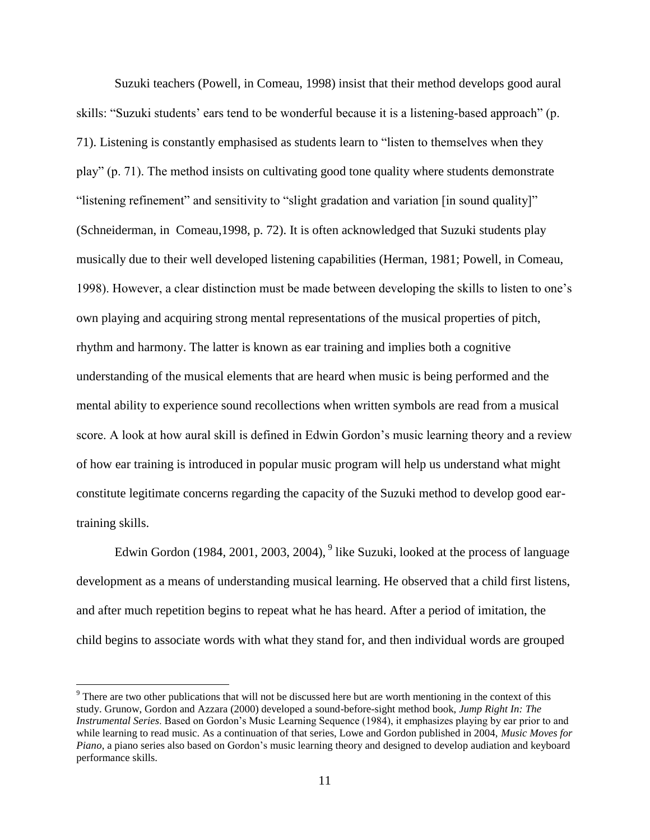Suzuki teachers (Powell, in Comeau, 1998) insist that their method develops good aural skills: "Suzuki students' ears tend to be wonderful because it is a listening-based approach" (p. 71). Listening is constantly emphasised as students learn to "listen to themselves when they play" (p. 71). The method insists on cultivating good tone quality where students demonstrate "listening refinement" and sensitivity to "slight gradation and variation [in sound quality]" (Schneiderman, in Comeau,1998, p. 72). It is often acknowledged that Suzuki students play musically due to their well developed listening capabilities (Herman, 1981; Powell, in Comeau, 1998). However, a clear distinction must be made between developing the skills to listen to one's own playing and acquiring strong mental representations of the musical properties of pitch, rhythm and harmony. The latter is known as ear training and implies both a cognitive understanding of the musical elements that are heard when music is being performed and the mental ability to experience sound recollections when written symbols are read from a musical score. A look at how aural skill is defined in Edwin Gordon's music learning theory and a review of how ear training is introduced in popular music program will help us understand what might constitute legitimate concerns regarding the capacity of the Suzuki method to develop good eartraining skills.

Edwin Gordon (1984, 2001, 2003, 2004),  $9$  like Suzuki, looked at the process of language development as a means of understanding musical learning. He observed that a child first listens, and after much repetition begins to repeat what he has heard. After a period of imitation, the child begins to associate words with what they stand for, and then individual words are grouped

 $\overline{a}$ 

<sup>9</sup> There are two other publications that will not be discussed here but are worth mentioning in the context of this study. Grunow, Gordon and Azzara (2000) developed a sound-before-sight method book, *Jump Right In: The Instrumental Series*. Based on Gordon's Music Learning Sequence (1984), it emphasizes playing by ear prior to and while learning to read music. As a continuation of that series, Lowe and Gordon published in 2004, *Music Moves for Piano*, a piano series also based on Gordon's music learning theory and designed to develop audiation and keyboard performance skills.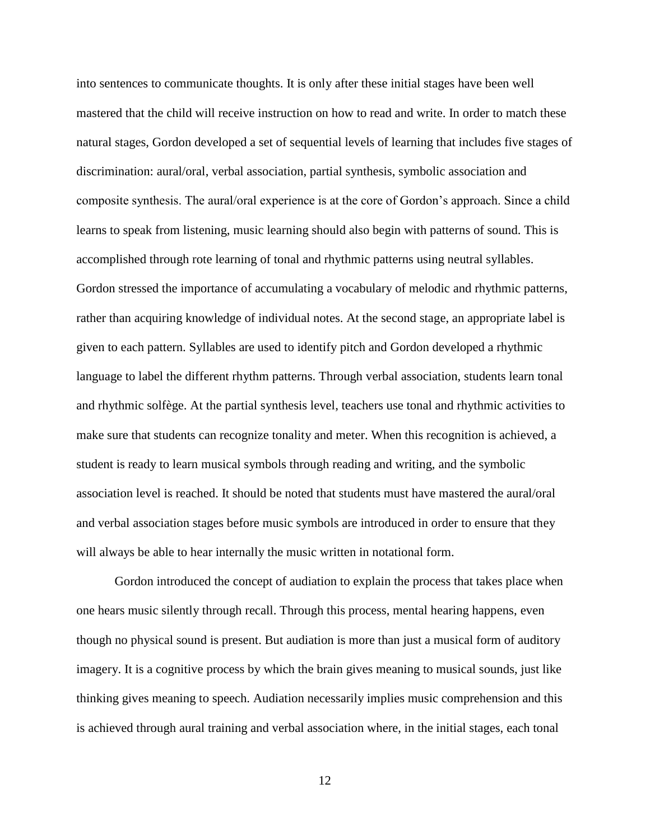into sentences to communicate thoughts. It is only after these initial stages have been well mastered that the child will receive instruction on how to read and write. In order to match these natural stages, Gordon developed a set of sequential levels of learning that includes five stages of discrimination: aural/oral, verbal association, partial synthesis, symbolic association and composite synthesis. The aural/oral experience is at the core of Gordon's approach. Since a child learns to speak from listening, music learning should also begin with patterns of sound. This is accomplished through rote learning of tonal and rhythmic patterns using neutral syllables. Gordon stressed the importance of accumulating a vocabulary of melodic and rhythmic patterns, rather than acquiring knowledge of individual notes. At the second stage, an appropriate label is given to each pattern. Syllables are used to identify pitch and Gordon developed a rhythmic language to label the different rhythm patterns. Through verbal association, students learn tonal and rhythmic solfège. At the partial synthesis level, teachers use tonal and rhythmic activities to make sure that students can recognize tonality and meter. When this recognition is achieved, a student is ready to learn musical symbols through reading and writing, and the symbolic association level is reached. It should be noted that students must have mastered the aural/oral and verbal association stages before music symbols are introduced in order to ensure that they will always be able to hear internally the music written in notational form.

Gordon introduced the concept of audiation to explain the process that takes place when one hears music silently through recall. Through this process, mental hearing happens, even though no physical sound is present. But audiation is more than just a musical form of auditory imagery. It is a cognitive process by which the brain gives meaning to musical sounds, just like thinking gives meaning to speech. Audiation necessarily implies music comprehension and this is achieved through aural training and verbal association where, in the initial stages, each tonal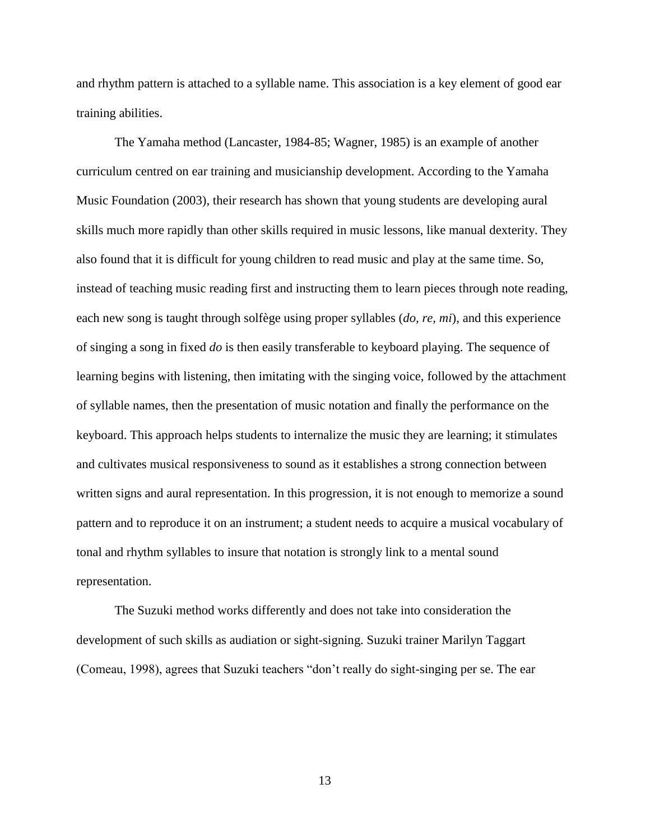and rhythm pattern is attached to a syllable name. This association is a key element of good ear training abilities.

The Yamaha method (Lancaster, 1984-85; Wagner, 1985) is an example of another curriculum centred on ear training and musicianship development. According to the Yamaha Music Foundation (2003), their research has shown that young students are developing aural skills much more rapidly than other skills required in music lessons, like manual dexterity. They also found that it is difficult for young children to read music and play at the same time. So, instead of teaching music reading first and instructing them to learn pieces through note reading, each new song is taught through solfège using proper syllables (*do, re, mi*), and this experience of singing a song in fixed *do* is then easily transferable to keyboard playing. The sequence of learning begins with listening, then imitating with the singing voice, followed by the attachment of syllable names, then the presentation of music notation and finally the performance on the keyboard. This approach helps students to internalize the music they are learning; it stimulates and cultivates musical responsiveness to sound as it establishes a strong connection between written signs and aural representation. In this progression, it is not enough to memorize a sound pattern and to reproduce it on an instrument; a student needs to acquire a musical vocabulary of tonal and rhythm syllables to insure that notation is strongly link to a mental sound representation.

The Suzuki method works differently and does not take into consideration the development of such skills as audiation or sight-signing. Suzuki trainer Marilyn Taggart (Comeau, 1998), agrees that Suzuki teachers "don't really do sight-singing per se. The ear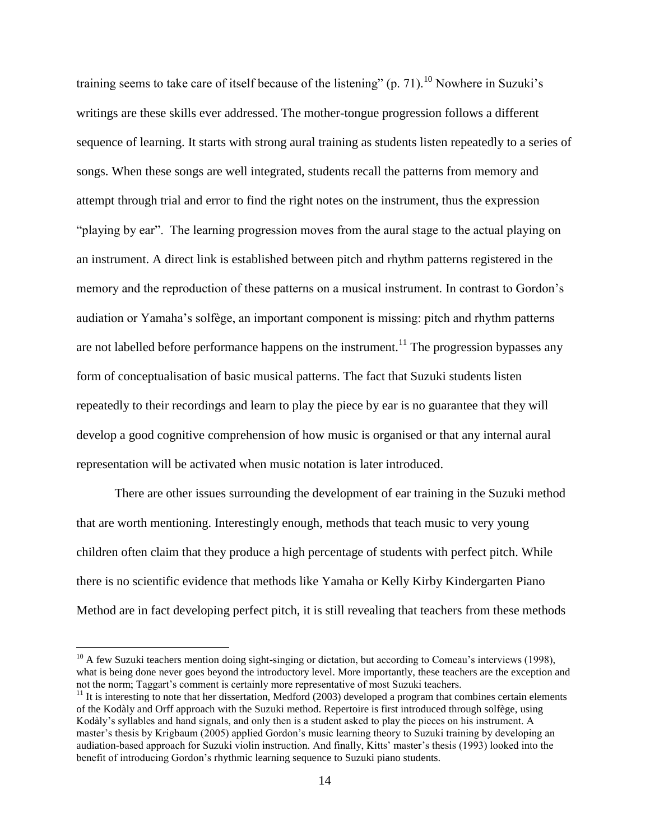training seems to take care of itself because of the listening" (p. 71).<sup>10</sup> Nowhere in Suzuki's writings are these skills ever addressed. The mother-tongue progression follows a different sequence of learning. It starts with strong aural training as students listen repeatedly to a series of songs. When these songs are well integrated, students recall the patterns from memory and attempt through trial and error to find the right notes on the instrument, thus the expression "playing by ear". The learning progression moves from the aural stage to the actual playing on an instrument. A direct link is established between pitch and rhythm patterns registered in the memory and the reproduction of these patterns on a musical instrument. In contrast to Gordon's audiation or Yamaha's solfège, an important component is missing: pitch and rhythm patterns are not labelled before performance happens on the instrument.<sup>11</sup> The progression bypasses any form of conceptualisation of basic musical patterns. The fact that Suzuki students listen repeatedly to their recordings and learn to play the piece by ear is no guarantee that they will develop a good cognitive comprehension of how music is organised or that any internal aural representation will be activated when music notation is later introduced.

There are other issues surrounding the development of ear training in the Suzuki method that are worth mentioning. Interestingly enough, methods that teach music to very young children often claim that they produce a high percentage of students with perfect pitch. While there is no scientific evidence that methods like Yamaha or Kelly Kirby Kindergarten Piano Method are in fact developing perfect pitch, it is still revealing that teachers from these methods

 $\overline{a}$ 

 $10$  A few Suzuki teachers mention doing sight-singing or dictation, but according to Comeau's interviews (1998), what is being done never goes beyond the introductory level. More importantly, these teachers are the exception and not the norm; Taggart's comment is certainly more representative of most Suzuki teachers.

 $11$  It is interesting to note that her dissertation, Medford (2003) developed a program that combines certain elements of the Kodàly and Orff approach with the Suzuki method. Repertoire is first introduced through solfège, using Kodàly's syllables and hand signals, and only then is a student asked to play the pieces on his instrument. A master's thesis by Krigbaum (2005) applied Gordon's music learning theory to Suzuki training by developing an audiation-based approach for Suzuki violin instruction. And finally, Kitts' master's thesis (1993) looked into the benefit of introducing Gordon's rhythmic learning sequence to Suzuki piano students.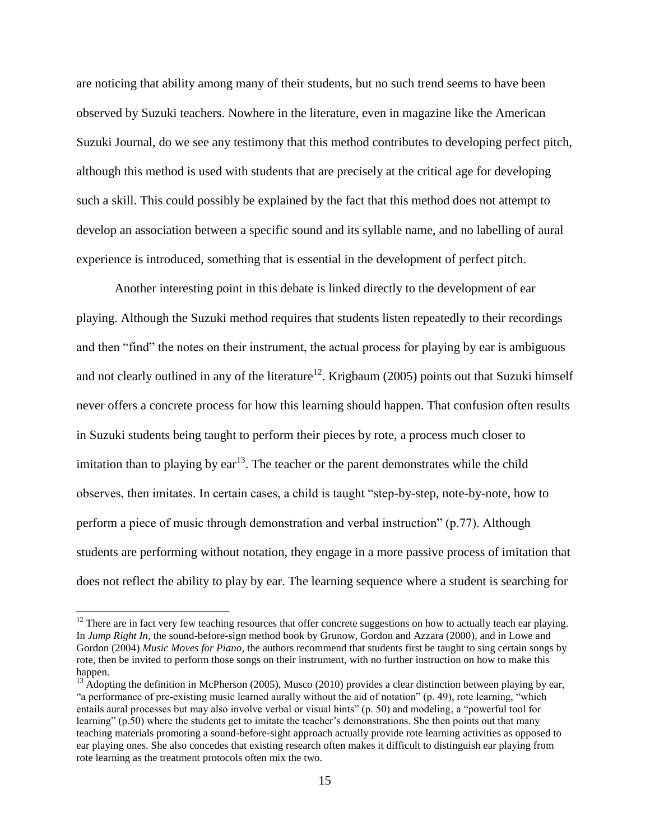are noticing that ability among many of their students, but no such trend seems to have been observed by Suzuki teachers. Nowhere in the literature, even in magazine like the American Suzuki Journal, do we see any testimony that this method contributes to developing perfect pitch, although this method is used with students that are precisely at the critical age for developing such a skill. This could possibly be explained by the fact that this method does not attempt to develop an association between a specific sound and its syllable name, and no labelling of aural experience is introduced, something that is essential in the development of perfect pitch.

Another interesting point in this debate is linked directly to the development of ear playing. Although the Suzuki method requires that students listen repeatedly to their recordings and then "find" the notes on their instrument, the actual process for playing by ear is ambiguous and not clearly outlined in any of the literature<sup>12</sup>. Krigbaum (2005) points out that Suzuki himself never offers a concrete process for how this learning should happen. That confusion often results in Suzuki students being taught to perform their pieces by rote, a process much closer to imitation than to playing by  $ear^{13}$ . The teacher or the parent demonstrates while the child observes, then imitates. In certain cases, a child is taught "step-by-step, note-by-note, how to perform a piece of music through demonstration and verbal instruction" (p.77). Although students are performing without notation, they engage in a more passive process of imitation that does not reflect the ability to play by ear. The learning sequence where a student is searching for

 $\overline{a}$ 

 $12$  There are in fact very few teaching resources that offer concrete suggestions on how to actually teach ear playing. In *Jump Right In*, the sound-before-sign method book by Grunow, Gordon and Azzara (2000), and in Lowe and Gordon (2004) *Music Moves for Piano*, the authors recommend that students first be taught to sing certain songs by rote, then be invited to perform those songs on their instrument, with no further instruction on how to make this happen.

<sup>&</sup>lt;sup>13</sup> Adopting the definition in McPherson (2005), Musco (2010) provides a clear distinction between playing by ear, "a performance of pre-existing music learned aurally without the aid of notation" (p. 49), rote learning, "which entails aural processes but may also involve verbal or visual hints" (p. 50) and modeling, a "powerful tool for learning"  $(p.50)$  where the students get to imitate the teacher's demonstrations. She then points out that many teaching materials promoting a sound-before-sight approach actually provide rote learning activities as opposed to ear playing ones. She also concedes that existing research often makes it difficult to distinguish ear playing from rote learning as the treatment protocols often mix the two.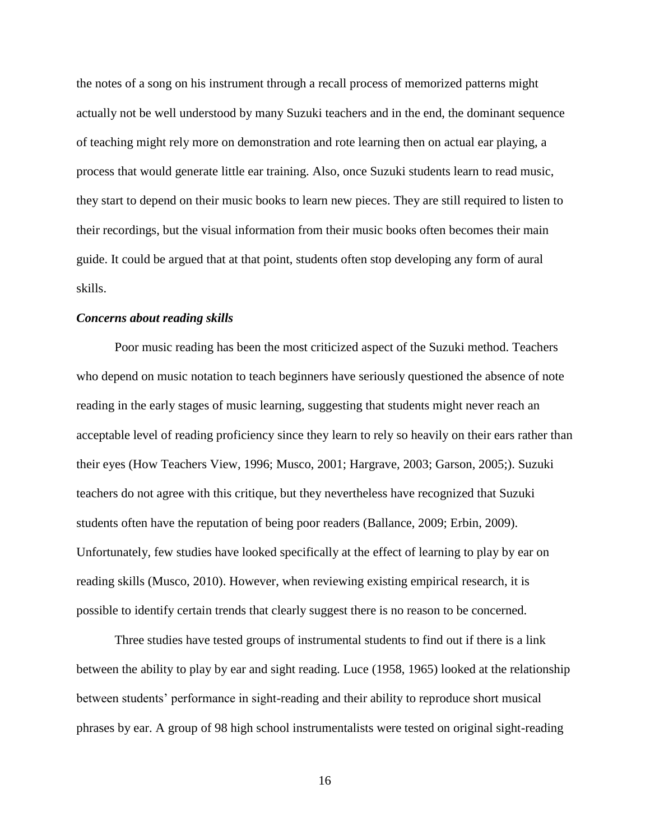the notes of a song on his instrument through a recall process of memorized patterns might actually not be well understood by many Suzuki teachers and in the end, the dominant sequence of teaching might rely more on demonstration and rote learning then on actual ear playing, a process that would generate little ear training. Also, once Suzuki students learn to read music, they start to depend on their music books to learn new pieces. They are still required to listen to their recordings, but the visual information from their music books often becomes their main guide. It could be argued that at that point, students often stop developing any form of aural skills.

#### *Concerns about reading skills*

Poor music reading has been the most criticized aspect of the Suzuki method. Teachers who depend on music notation to teach beginners have seriously questioned the absence of note reading in the early stages of music learning, suggesting that students might never reach an acceptable level of reading proficiency since they learn to rely so heavily on their ears rather than their eyes (How Teachers View, 1996; Musco, 2001; Hargrave, 2003; Garson, 2005;). Suzuki teachers do not agree with this critique, but they nevertheless have recognized that Suzuki students often have the reputation of being poor readers (Ballance, 2009; Erbin, 2009). Unfortunately, few studies have looked specifically at the effect of learning to play by ear on reading skills (Musco, 2010). However, when reviewing existing empirical research, it is possible to identify certain trends that clearly suggest there is no reason to be concerned.

Three studies have tested groups of instrumental students to find out if there is a link between the ability to play by ear and sight reading. Luce (1958, 1965) looked at the relationship between students' performance in sight-reading and their ability to reproduce short musical phrases by ear. A group of 98 high school instrumentalists were tested on original sight-reading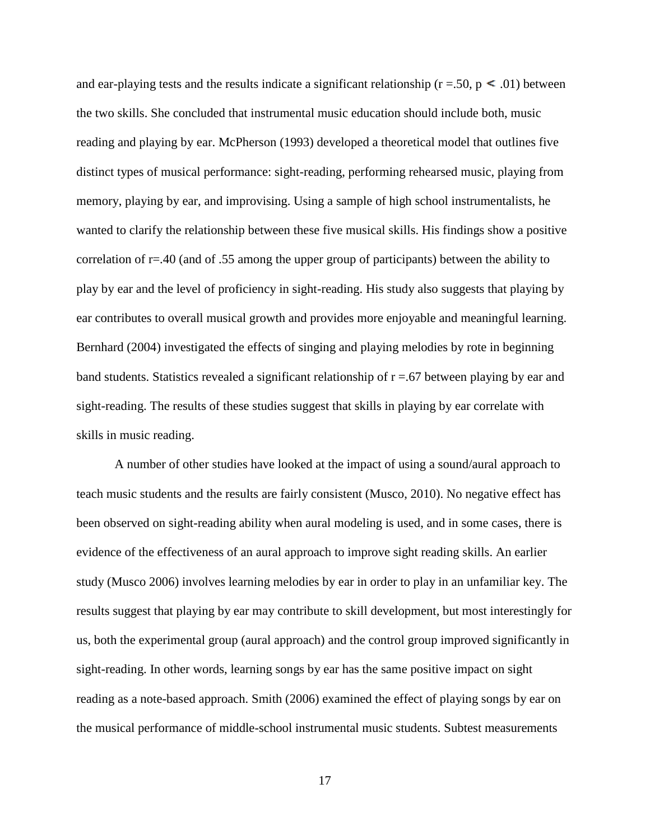and ear-playing tests and the results indicate a significant relationship ( $r = .50$ ,  $p \le .01$ ) between the two skills. She concluded that instrumental music education should include both, music reading and playing by ear. McPherson (1993) developed a theoretical model that outlines five distinct types of musical performance: sight-reading, performing rehearsed music, playing from memory, playing by ear, and improvising. Using a sample of high school instrumentalists, he wanted to clarify the relationship between these five musical skills. His findings show a positive correlation of r=.40 (and of .55 among the upper group of participants) between the ability to play by ear and the level of proficiency in sight-reading. His study also suggests that playing by ear contributes to overall musical growth and provides more enjoyable and meaningful learning. Bernhard (2004) investigated the effects of singing and playing melodies by rote in beginning band students. Statistics revealed a significant relationship of  $r = .67$  between playing by ear and sight-reading. The results of these studies suggest that skills in playing by ear correlate with skills in music reading.

A number of other studies have looked at the impact of using a sound/aural approach to teach music students and the results are fairly consistent (Musco, 2010). No negative effect has been observed on sight-reading ability when aural modeling is used, and in some cases, there is evidence of the effectiveness of an aural approach to improve sight reading skills. An earlier study (Musco 2006) involves learning melodies by ear in order to play in an unfamiliar key. The results suggest that playing by ear may contribute to skill development, but most interestingly for us, both the experimental group (aural approach) and the control group improved significantly in sight-reading. In other words, learning songs by ear has the same positive impact on sight reading as a note-based approach. Smith (2006) examined the effect of playing songs by ear on the musical performance of middle-school instrumental music students. Subtest measurements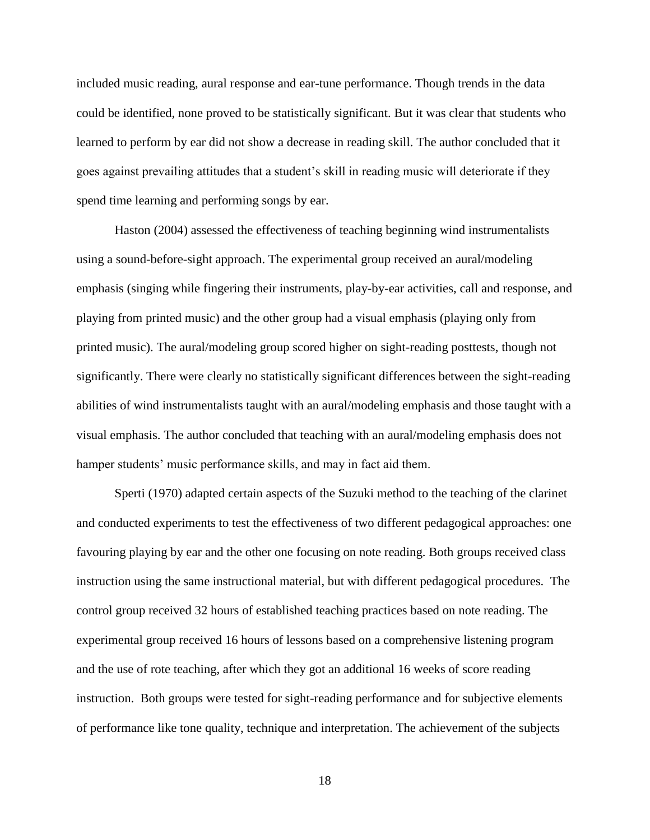included music reading, aural response and ear-tune performance. Though trends in the data could be identified, none proved to be statistically significant. But it was clear that students who learned to perform by ear did not show a decrease in reading skill. The author concluded that it goes against prevailing attitudes that a student's skill in reading music will deteriorate if they spend time learning and performing songs by ear.

Haston (2004) assessed the effectiveness of teaching beginning wind instrumentalists using a sound-before-sight approach. The experimental group received an aural/modeling emphasis (singing while fingering their instruments, play-by-ear activities, call and response, and playing from printed music) and the other group had a visual emphasis (playing only from printed music). The aural/modeling group scored higher on sight-reading posttests, though not significantly. There were clearly no statistically significant differences between the sight-reading abilities of wind instrumentalists taught with an aural/modeling emphasis and those taught with a visual emphasis. The author concluded that teaching with an aural/modeling emphasis does not hamper students' music performance skills, and may in fact aid them.

Sperti (1970) adapted certain aspects of the Suzuki method to the teaching of the clarinet and conducted experiments to test the effectiveness of two different pedagogical approaches: one favouring playing by ear and the other one focusing on note reading. Both groups received class instruction using the same instructional material, but with different pedagogical procedures. The control group received 32 hours of established teaching practices based on note reading. The experimental group received 16 hours of lessons based on a comprehensive listening program and the use of rote teaching, after which they got an additional 16 weeks of score reading instruction. Both groups were tested for sight-reading performance and for subjective elements of performance like tone quality, technique and interpretation. The achievement of the subjects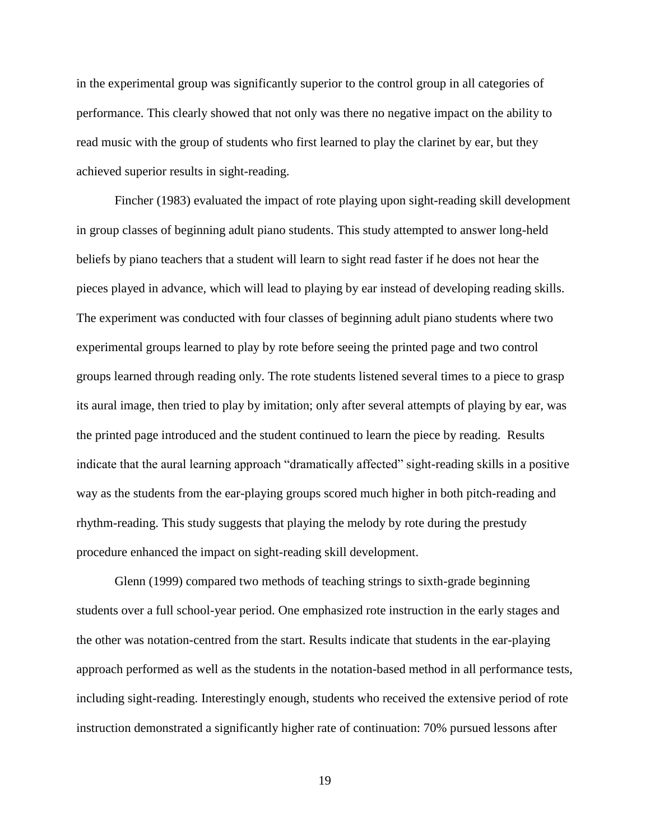in the experimental group was significantly superior to the control group in all categories of performance. This clearly showed that not only was there no negative impact on the ability to read music with the group of students who first learned to play the clarinet by ear, but they achieved superior results in sight-reading.

Fincher (1983) evaluated the impact of rote playing upon sight-reading skill development in group classes of beginning adult piano students. This study attempted to answer long-held beliefs by piano teachers that a student will learn to sight read faster if he does not hear the pieces played in advance, which will lead to playing by ear instead of developing reading skills. The experiment was conducted with four classes of beginning adult piano students where two experimental groups learned to play by rote before seeing the printed page and two control groups learned through reading only. The rote students listened several times to a piece to grasp its aural image, then tried to play by imitation; only after several attempts of playing by ear, was the printed page introduced and the student continued to learn the piece by reading. Results indicate that the aural learning approach "dramatically affected" sight-reading skills in a positive way as the students from the ear-playing groups scored much higher in both pitch-reading and rhythm-reading. This study suggests that playing the melody by rote during the prestudy procedure enhanced the impact on sight-reading skill development.

Glenn (1999) compared two methods of teaching strings to sixth-grade beginning students over a full school-year period. One emphasized rote instruction in the early stages and the other was notation-centred from the start. Results indicate that students in the ear-playing approach performed as well as the students in the notation-based method in all performance tests, including sight-reading. Interestingly enough, students who received the extensive period of rote instruction demonstrated a significantly higher rate of continuation: 70% pursued lessons after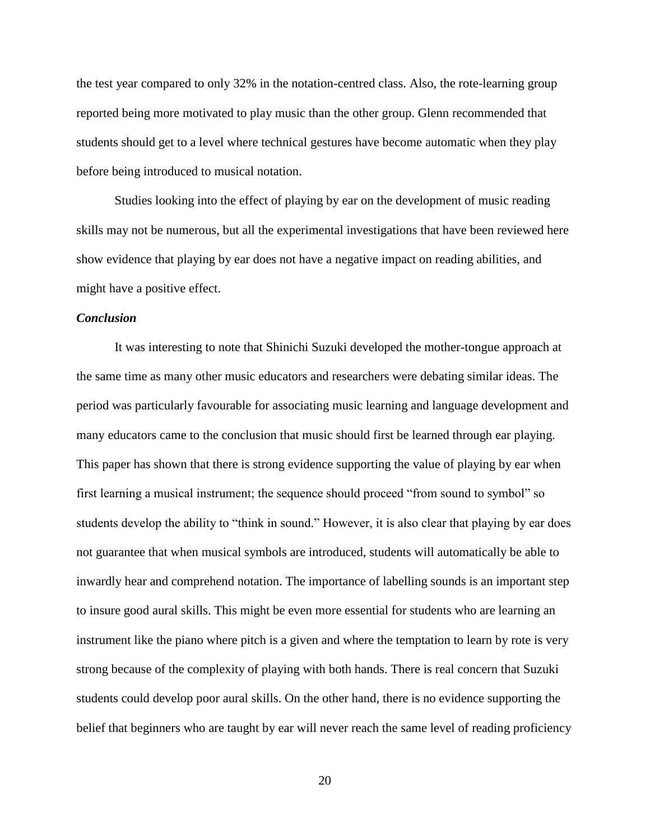the test year compared to only 32% in the notation-centred class. Also, the rote-learning group reported being more motivated to play music than the other group. Glenn recommended that students should get to a level where technical gestures have become automatic when they play before being introduced to musical notation.

Studies looking into the effect of playing by ear on the development of music reading skills may not be numerous, but all the experimental investigations that have been reviewed here show evidence that playing by ear does not have a negative impact on reading abilities, and might have a positive effect.

#### *Conclusion*

It was interesting to note that Shinichi Suzuki developed the mother-tongue approach at the same time as many other music educators and researchers were debating similar ideas. The period was particularly favourable for associating music learning and language development and many educators came to the conclusion that music should first be learned through ear playing. This paper has shown that there is strong evidence supporting the value of playing by ear when first learning a musical instrument; the sequence should proceed "from sound to symbol" so students develop the ability to "think in sound." However, it is also clear that playing by ear does not guarantee that when musical symbols are introduced, students will automatically be able to inwardly hear and comprehend notation. The importance of labelling sounds is an important step to insure good aural skills. This might be even more essential for students who are learning an instrument like the piano where pitch is a given and where the temptation to learn by rote is very strong because of the complexity of playing with both hands. There is real concern that Suzuki students could develop poor aural skills. On the other hand, there is no evidence supporting the belief that beginners who are taught by ear will never reach the same level of reading proficiency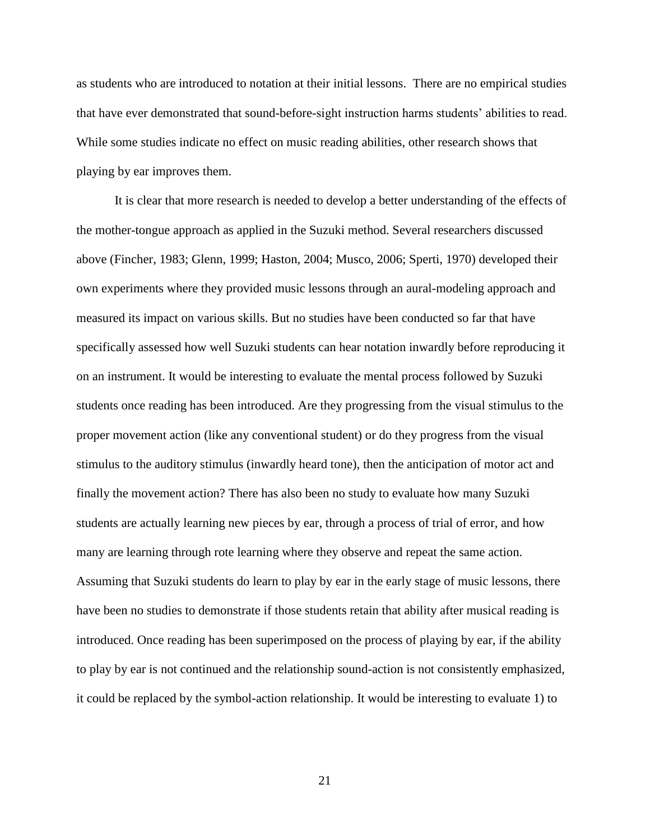as students who are introduced to notation at their initial lessons. There are no empirical studies that have ever demonstrated that sound-before-sight instruction harms students' abilities to read. While some studies indicate no effect on music reading abilities, other research shows that playing by ear improves them.

It is clear that more research is needed to develop a better understanding of the effects of the mother-tongue approach as applied in the Suzuki method. Several researchers discussed above (Fincher, 1983; Glenn, 1999; Haston, 2004; Musco, 2006; Sperti, 1970) developed their own experiments where they provided music lessons through an aural-modeling approach and measured its impact on various skills. But no studies have been conducted so far that have specifically assessed how well Suzuki students can hear notation inwardly before reproducing it on an instrument. It would be interesting to evaluate the mental process followed by Suzuki students once reading has been introduced. Are they progressing from the visual stimulus to the proper movement action (like any conventional student) or do they progress from the visual stimulus to the auditory stimulus (inwardly heard tone), then the anticipation of motor act and finally the movement action? There has also been no study to evaluate how many Suzuki students are actually learning new pieces by ear, through a process of trial of error, and how many are learning through rote learning where they observe and repeat the same action. Assuming that Suzuki students do learn to play by ear in the early stage of music lessons, there have been no studies to demonstrate if those students retain that ability after musical reading is introduced. Once reading has been superimposed on the process of playing by ear, if the ability to play by ear is not continued and the relationship sound-action is not consistently emphasized, it could be replaced by the symbol-action relationship. It would be interesting to evaluate 1) to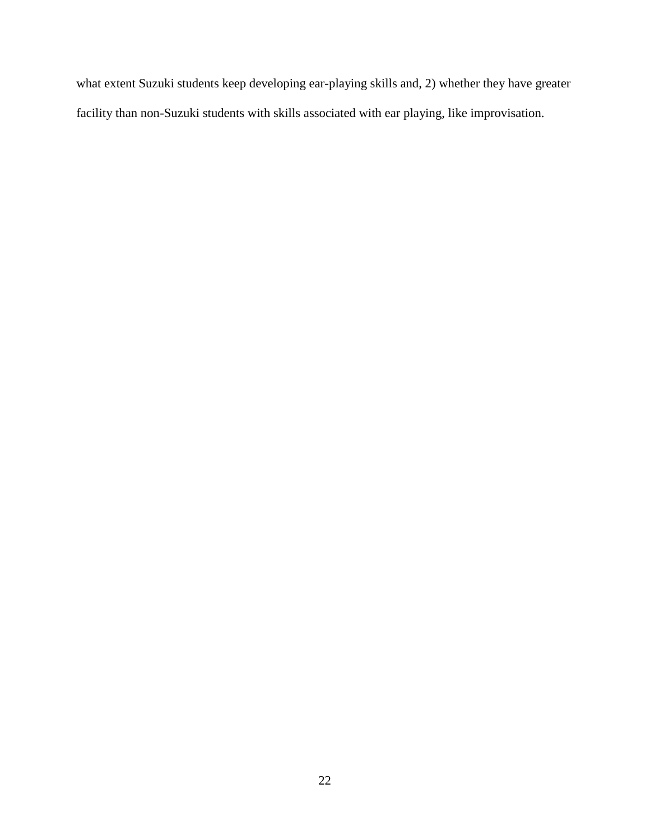what extent Suzuki students keep developing ear-playing skills and, 2) whether they have greater facility than non-Suzuki students with skills associated with ear playing, like improvisation.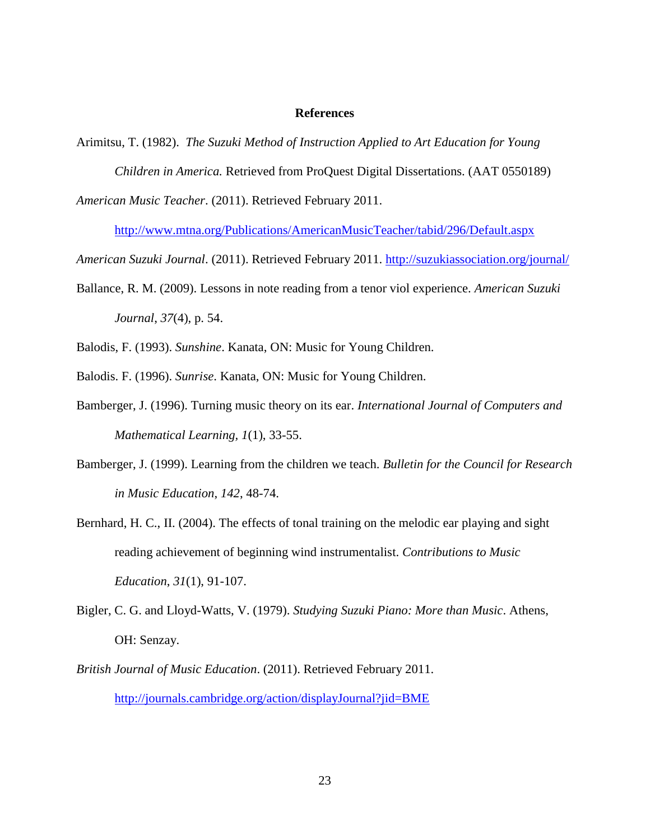### **References**

Arimitsu, T. (1982). *The Suzuki Method of Instruction Applied to Art Education for Young* 

*Children in America.* Retrieved from ProQuest Digital Dissertations. (AAT 0550189)

*American Music Teacher*. (2011). Retrieved February 2011.

<http://www.mtna.org/Publications/AmericanMusicTeacher/tabid/296/Default.aspx>

*American Suzuki Journal*. (2011). Retrieved February 2011.<http://suzukiassociation.org/journal/>

Ballance, R. M. (2009). Lessons in note reading from a tenor viol experience. *American Suzuki Journal*, *37*(4), p. 54.

Balodis, F. (1993). *Sunshine*. Kanata, ON: Music for Young Children.

Balodis. F. (1996). *Sunrise*. Kanata, ON: Music for Young Children.

- Bamberger, J. (1996). Turning music theory on its ear. *International Journal of Computers and Mathematical Learning, 1*(1), 33-55.
- Bamberger, J. (1999). Learning from the children we teach. *Bulletin for the Council for Research in Music Education*, *142*, 48-74.
- Bernhard, H. C., II. (2004). The effects of tonal training on the melodic ear playing and sight reading achievement of beginning wind instrumentalist. *Contributions to Music Education*, *31*(1), 91-107.
- Bigler, C. G. and Lloyd-Watts, V. (1979). *Studying Suzuki Piano: More than Music*. Athens, OH: Senzay.
- *British Journal of Music Education*. (2011). Retrieved February 2011. <http://journals.cambridge.org/action/displayJournal?jid=BME>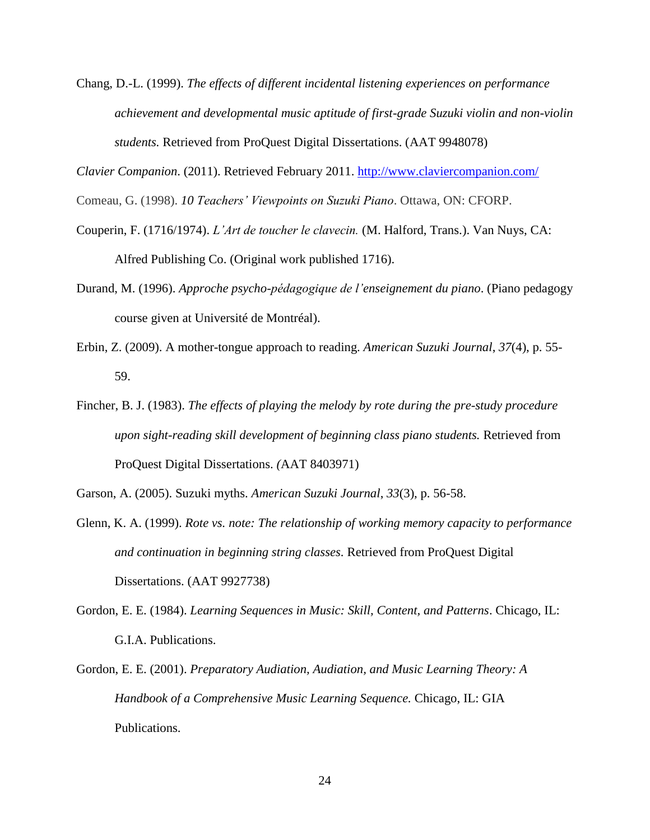Chang, D.-L. (1999). *The effects of different incidental listening experiences on performance achievement and developmental music aptitude of first-grade Suzuki violin and non-violin students.* Retrieved from ProQuest Digital Dissertations. (AAT 9948078)

*Clavier Companion*. (2011). Retrieved February 2011.<http://www.claviercompanion.com/>

Comeau, G. (1998). *10 Teachers' Viewpoints on Suzuki Piano*. Ottawa, ON: CFORP.

- Couperin, F. (1716/1974). *L'Art de toucher le clavecin.* (M. Halford, Trans.). Van Nuys, CA: Alfred Publishing Co. (Original work published 1716).
- Durand, M. (1996). *Approche psycho-pédagogique de l'enseignement du piano*. (Piano pedagogy course given at Université de Montréal).
- Erbin, Z. (2009). A mother-tongue approach to reading. *American Suzuki Journal*, *37*(4), p. 55- 59.
- Fincher, B. J. (1983). *The effects of playing the melody by rote during the pre-study procedure upon sight-reading skill development of beginning class piano students.* Retrieved from ProQuest Digital Dissertations. *(*AAT 8403971)
- Garson, A. (2005). Suzuki myths. *American Suzuki Journal*, *33*(3), p. 56-58.
- Glenn, K. A. (1999). *Rote vs. note: The relationship of working memory capacity to performance and continuation in beginning string classes.* Retrieved from ProQuest Digital Dissertations. (AAT 9927738)
- Gordon, E. E. (1984). *Learning Sequences in Music: Skill, Content, and Patterns*. Chicago, IL: G.I.A. Publications.
- Gordon, E. E. (2001). *Preparatory Audiation, Audiation, and Music Learning Theory: A Handbook of a Comprehensive Music Learning Sequence.* Chicago, IL: GIA Publications.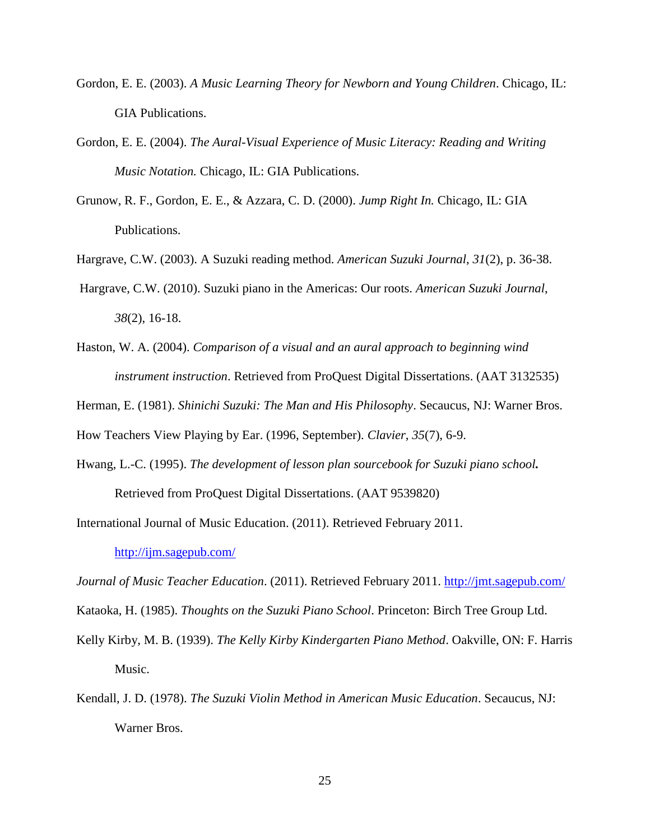- Gordon, E. E. (2003). *A Music Learning Theory for Newborn and Young Children*. Chicago, IL: GIA Publications.
- Gordon, E. E. (2004). *The Aural-Visual Experience of Music Literacy: Reading and Writing Music Notation.* Chicago, IL: GIA Publications.
- Grunow, R. F., Gordon, E. E., & Azzara, C. D. (2000). *Jump Right In.* Chicago, IL: GIA Publications.
- Hargrave, C.W. (2003). A Suzuki reading method. *American Suzuki Journal*, *31*(2), p. 36-38.
- Hargrave, C.W. (2010). Suzuki piano in the Americas: Our roots. *American Suzuki Journal*, *38*(2), 16-18.
- Haston, W. A. (2004). *Comparison of a visual and an aural approach to beginning wind instrument instruction*. Retrieved from ProQuest Digital Dissertations. (AAT 3132535)
- Herman, E. (1981). *Shinichi Suzuki: The Man and His Philosophy*. Secaucus, NJ: Warner Bros.

How Teachers View Playing by Ear. (1996, September). *Clavier*, *35*(7), 6-9.

Hwang, L.-C. (1995). *The development of lesson plan sourcebook for Suzuki piano school.* Retrieved from ProQuest Digital Dissertations. (AAT 9539820)

International Journal of Music Education. (2011). Retrieved February 2011.

<http://ijm.sagepub.com/>

*Journal of Music Teacher Education*. (2011). Retrieved February 2011.<http://jmt.sagepub.com/>

Kataoka, H. (1985). *Thoughts on the Suzuki Piano School*. Princeton: Birch Tree Group Ltd.

- Kelly Kirby, M. B. (1939). *The Kelly Kirby Kindergarten Piano Method*. Oakville, ON: F. Harris Music.
- Kendall, J. D. (1978). *The Suzuki Violin Method in American Music Education*. Secaucus, NJ: Warner Bros.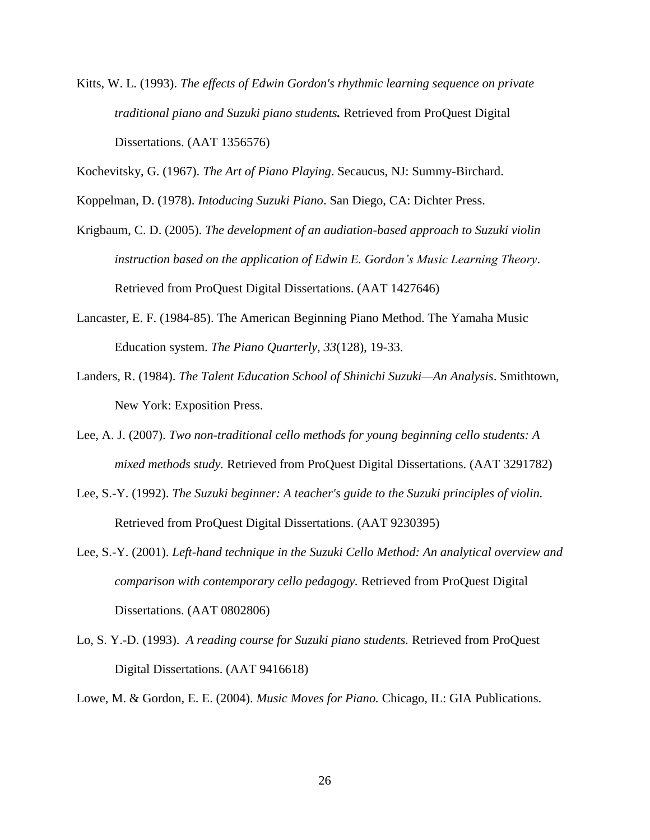Kitts, W. L. (1993). *The effects of Edwin Gordon's rhythmic learning sequence on private traditional piano and Suzuki piano students.* Retrieved from ProQuest Digital Dissertations. (AAT 1356576)

Kochevitsky, G. (1967). *The Art of Piano Playing*. Secaucus, NJ: Summy-Birchard.

Koppelman, D. (1978). *Intoducing Suzuki Piano*. San Diego, CA: Dichter Press.

- Krigbaum, C. D. (2005). *The development of an audiation-based approach to Suzuki violin instruction based on the application of Edwin E. Gordon's Music Learning Theory*. Retrieved from ProQuest Digital Dissertations. (AAT 1427646)
- Lancaster, E. F. (1984-85). The American Beginning Piano Method. The Yamaha Music Education system. *The Piano Quarterly*, *33*(128), 19-33.
- Landers, R. (1984). *The Talent Education School of Shinichi Suzuki—An Analysis*. Smithtown, New York: Exposition Press.
- Lee, A. J. (2007). *Two non-traditional cello methods for young beginning cello students: A mixed methods study.* Retrieved from ProQuest Digital Dissertations. (AAT 3291782)
- Lee, S.-Y. (1992). *The Suzuki beginner: A teacher's guide to the Suzuki principles of violin.* Retrieved from ProQuest Digital Dissertations. (AAT 9230395)
- Lee, S.-Y. (2001). *Left-hand technique in the Suzuki Cello Method: An analytical overview and comparison with contemporary cello pedagogy.* Retrieved from ProQuest Digital Dissertations. (AAT 0802806)
- Lo, S. Y.-D. (1993). *A reading course for Suzuki piano students.* Retrieved from ProQuest Digital Dissertations. (AAT 9416618)

Lowe, M. & Gordon, E. E. (2004). *Music Moves for Piano.* Chicago, IL: GIA Publications.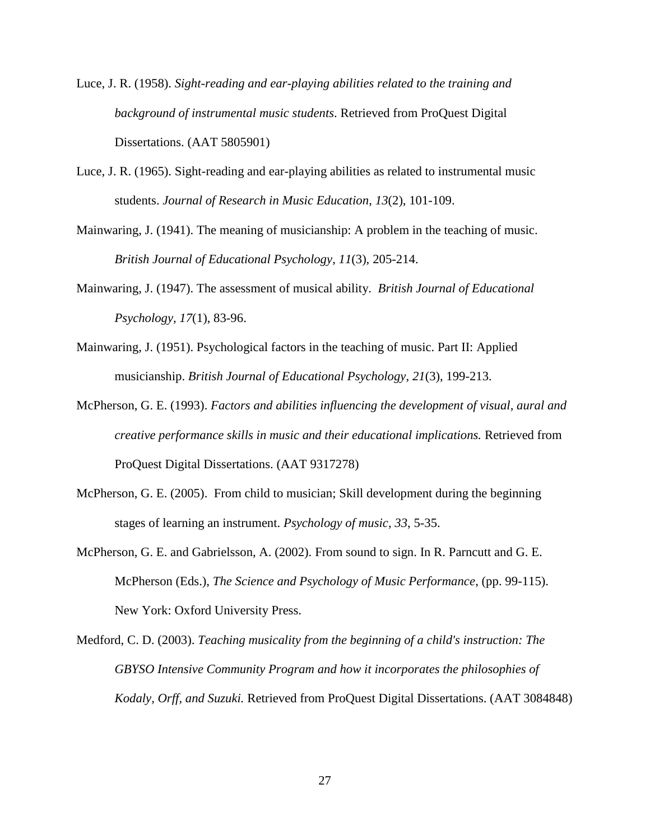- Luce, J. R. (1958). *Sight-reading and ear-playing abilities related to the training and background of instrumental music students*. Retrieved from ProQuest Digital Dissertations. (AAT 5805901)
- Luce, J. R. (1965). Sight-reading and ear-playing abilities as related to instrumental music students. *Journal of Research in Music Education*, *13*(2), 101-109.
- Mainwaring, J. (1941). The meaning of musicianship: A problem in the teaching of music. *British Journal of Educational Psychology*, *11*(3), 205-214.
- Mainwaring, J. (1947). The assessment of musical ability. *British Journal of Educational Psychology*, *17*(1), 83-96.
- Mainwaring, J. (1951). Psychological factors in the teaching of music. Part II: Applied musicianship. *British Journal of Educational Psychology*, *21*(3), 199-213.
- McPherson, G. E. (1993). *Factors and abilities influencing the development of visual, aural and creative performance skills in music and their educational implications.* Retrieved from ProQuest Digital Dissertations. (AAT 9317278)
- McPherson, G. E. (2005). From child to musician; Skill development during the beginning stages of learning an instrument. *Psychology of music, 33*, 5-35.
- McPherson, G. E. and Gabrielsson, A. (2002). From sound to sign. In R. Parncutt and G. E. McPherson (Eds.), *The Science and Psychology of Music Performance*, (pp. 99-115). New York: Oxford University Press.
- Medford, C. D. (2003). *Teaching musicality from the beginning of a child's instruction: The GBYSO Intensive Community Program and how it incorporates the philosophies of Kodaly, Orff, and Suzuki.* Retrieved from ProQuest Digital Dissertations. (AAT 3084848)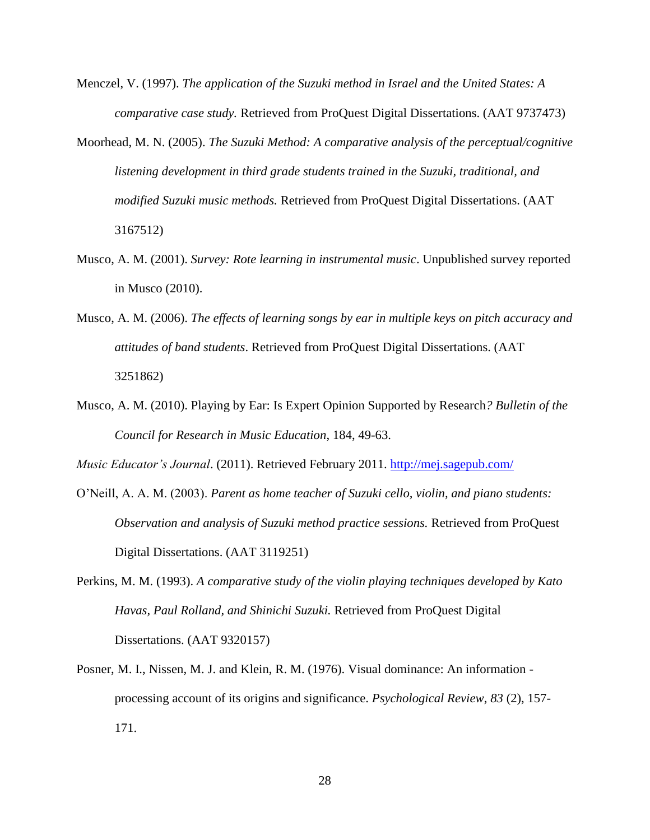- Menczel, V. (1997). *The application of the Suzuki method in Israel and the United States: A comparative case study.* Retrieved from ProQuest Digital Dissertations. (AAT 9737473)
- Moorhead, M. N. (2005). *The Suzuki Method: A comparative analysis of the perceptual/cognitive listening development in third grade students trained in the Suzuki, traditional, and modified Suzuki music methods.* Retrieved from ProQuest Digital Dissertations. (AAT 3167512)
- Musco, A. M. (2001). *Survey: Rote learning in instrumental music*. Unpublished survey reported in Musco (2010).
- Musco, A. M. (2006). *The effects of learning songs by ear in multiple keys on pitch accuracy and attitudes of band students*. Retrieved from ProQuest Digital Dissertations. (AAT 3251862)
- Musco, A. M. (2010). Playing by Ear: Is Expert Opinion Supported by Research*? Bulletin of the Council for Research in Music Education*, 184, 49-63.

*Music Educator's Journal*. (2011). Retrieved February 2011.<http://mej.sagepub.com/>

- O'Neill, A. A. M. (2003). *Parent as home teacher of Suzuki cello, violin, and piano students: Observation and analysis of Suzuki method practice sessions.* Retrieved from ProQuest Digital Dissertations. (AAT 3119251)
- Perkins, M. M. (1993). *A comparative study of the violin playing techniques developed by Kato Havas, Paul Rolland, and Shinichi Suzuki.* Retrieved from ProQuest Digital Dissertations. (AAT 9320157)
- Posner, M. I., Nissen, M. J. and Klein, R. M. (1976). Visual dominance: An information processing account of its origins and significance. *Psychological Review*, *83* (2), 157- 171.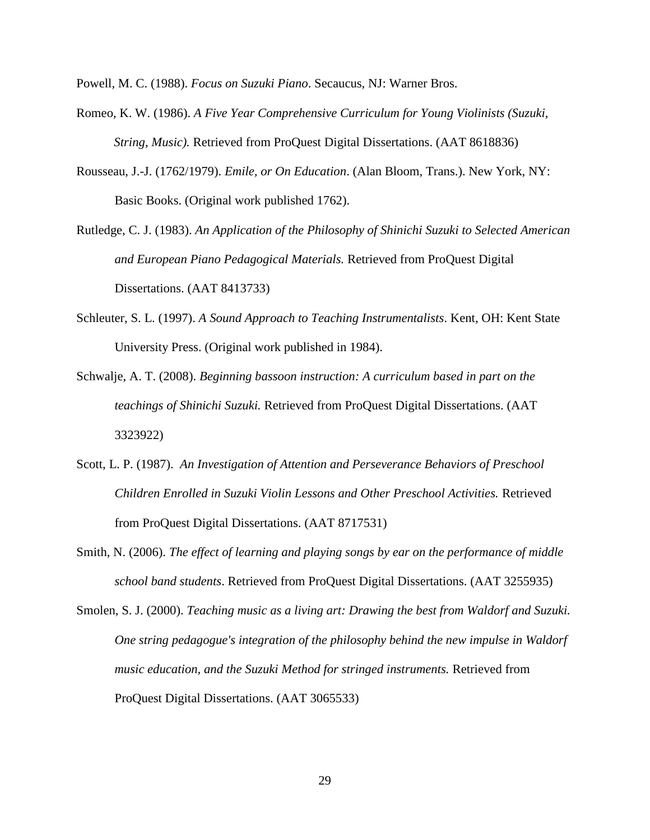Powell, M. C. (1988). *Focus on Suzuki Piano*. Secaucus, NJ: Warner Bros.

- Romeo, K. W. (1986). *A Five Year Comprehensive Curriculum for Young Violinists (Suzuki, String, Music).* Retrieved from ProQuest Digital Dissertations. (AAT 8618836)
- Rousseau, J.-J. (1762/1979). *Emile, or On Education*. (Alan Bloom, Trans.). New York, NY: Basic Books. (Original work published 1762).
- Rutledge, C. J. (1983). *An Application of the Philosophy of Shinichi Suzuki to Selected American and European Piano Pedagogical Materials.* Retrieved from ProQuest Digital Dissertations. (AAT 8413733)
- Schleuter, S. L. (1997). *A Sound Approach to Teaching Instrumentalists*. Kent, OH: Kent State University Press. (Original work published in 1984).
- Schwalje, A. T. (2008). *Beginning bassoon instruction: A curriculum based in part on the teachings of Shinichi Suzuki.* Retrieved from ProQuest Digital Dissertations. (AAT 3323922)
- Scott, L. P. (1987). *An Investigation of Attention and Perseverance Behaviors of Preschool Children Enrolled in Suzuki Violin Lessons and Other Preschool Activities.* Retrieved from ProQuest Digital Dissertations. (AAT 8717531)
- Smith, N. (2006). *The effect of learning and playing songs by ear on the performance of middle school band students*. Retrieved from ProQuest Digital Dissertations. (AAT 3255935)
- Smolen, S. J. (2000). *Teaching music as a living art: Drawing the best from Waldorf and Suzuki. One string pedagogue's integration of the philosophy behind the new impulse in Waldorf music education, and the Suzuki Method for stringed instruments.* Retrieved from ProQuest Digital Dissertations. (AAT 3065533)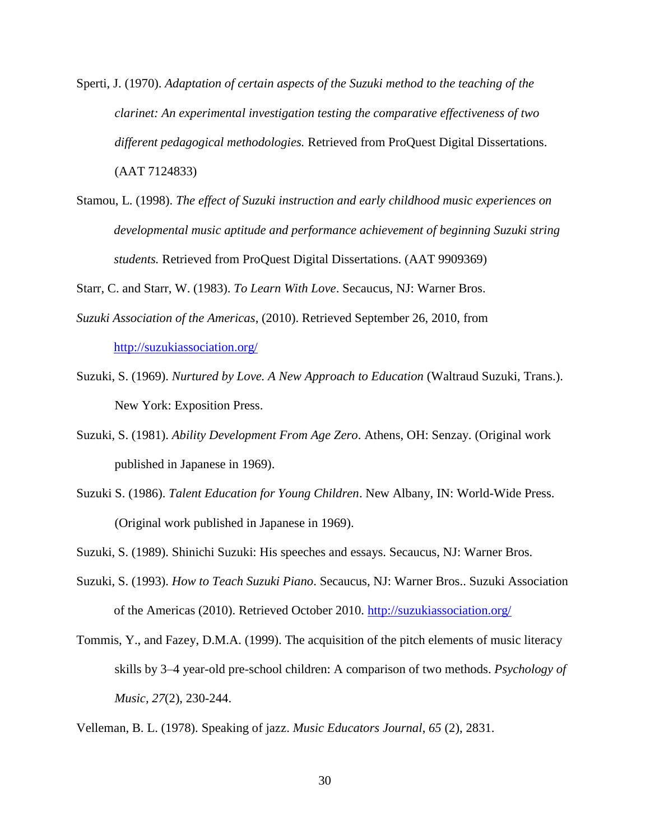- Sperti, J. (1970). *Adaptation of certain aspects of the Suzuki method to the teaching of the clarinet: An experimental investigation testing the comparative effectiveness of two different pedagogical methodologies.* Retrieved from ProQuest Digital Dissertations. (AAT 7124833)
- Stamou, L. (1998). *The effect of Suzuki instruction and early childhood music experiences on developmental music aptitude and performance achievement of beginning Suzuki string students.* Retrieved from ProQuest Digital Dissertations. (AAT 9909369)

Starr, C. and Starr, W. (1983). *To Learn With Love*. Secaucus, NJ: Warner Bros.

- *Suzuki Association of the Americas*, (2010). Retrieved September 26, 2010, from <http://suzukiassociation.org/>
- Suzuki, S. (1969). *Nurtured by Love. A New Approach to Education* (Waltraud Suzuki, Trans.). New York: Exposition Press.
- Suzuki, S. (1981). *Ability Development From Age Zero*. Athens, OH: Senzay. (Original work published in Japanese in 1969).
- Suzuki S. (1986). *Talent Education for Young Children*. New Albany, IN: World-Wide Press. (Original work published in Japanese in 1969).
- Suzuki, S. (1989). Shinichi Suzuki: His speeches and essays. Secaucus, NJ: Warner Bros.
- Suzuki, S. (1993). *How to Teach Suzuki Piano*. Secaucus, NJ: Warner Bros.. Suzuki Association of the Americas (2010). Retrieved October 2010.<http://suzukiassociation.org/>
- Tommis, Y., and Fazey, D.M.A. (1999). The acquisition of the pitch elements of music literacy skills by 3–4 year-old pre-school children: A comparison of two methods. *Psychology of Music, 27*(2), 230-244.

Velleman, B. L. (1978). Speaking of jazz. *Music Educators Journal*, *65* (2), 2831.